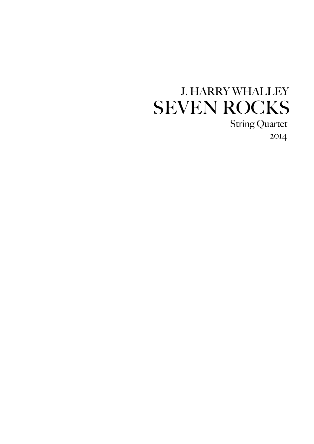## J. HARRY WHALLEY SEVEN ROCKS

String Quartet 2014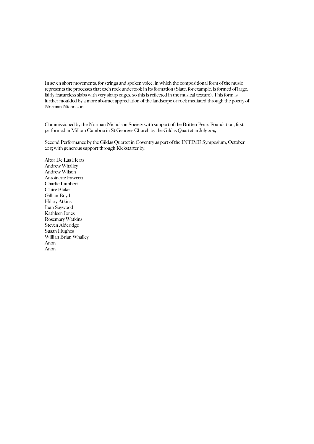In seven short movements, for strings and spoken voice, in which the compositional form of the music represents the processes that each rock undertook in its formation (Slate, for example, is formed of large, fairly featureless slabs with very sharp edges, so this is reflected in the musical texture). This form is further moulded by a more abstract appreciation of the landscape or rock mediated through the poetry of Norman Nicholson.

Commissioned by the Norman Nicholson Society with support of the Britten Pears Foundation, first performed in Millom Cumbria in St Georges Church by the Gildas Quartet in July 2015

Second Performance by the Gildas Quartet in Coventry as part of the INTIME Symposium, October 2015 with generous support through Kickstarter by:

Aitor De Las Heras Andrew Whalley Andrew Wilson Antoinette Fawcett Charlie Lambert Claire Blake Gillian Boyd Hilary Atkins Joan Saywood Kathleen Jones Rosemary Watkins Steven Alderidge Susan Hughes Willian Brian Whalley Anon Anon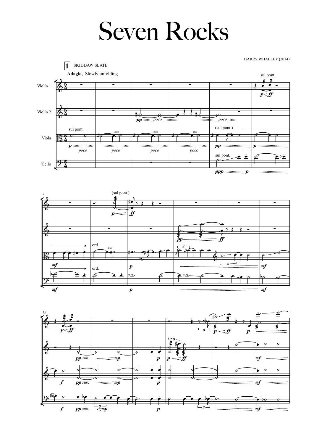## Seven Rocks

HARRY WHALLEY (2014)





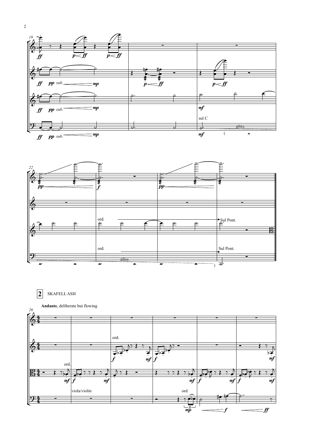



**2**SKAFELL ASH

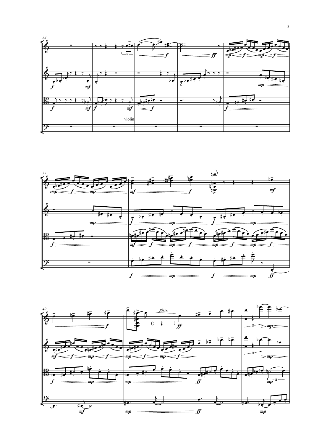



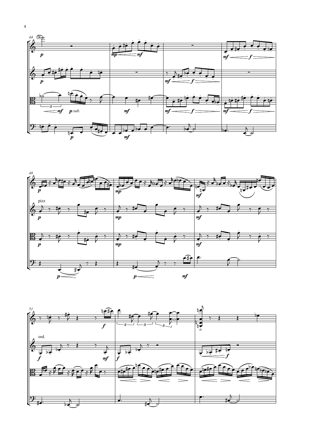



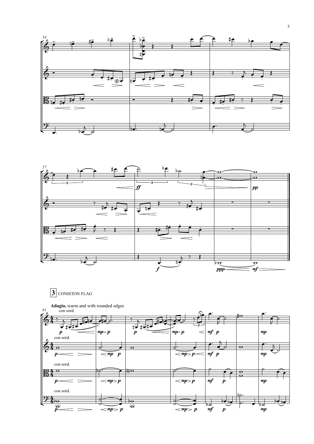



CONISTON FLAG

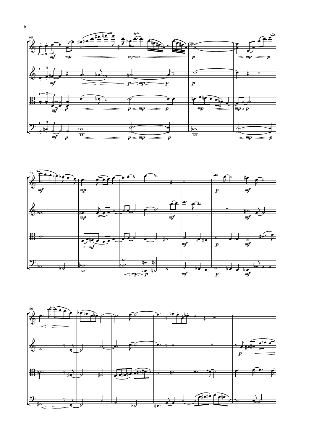



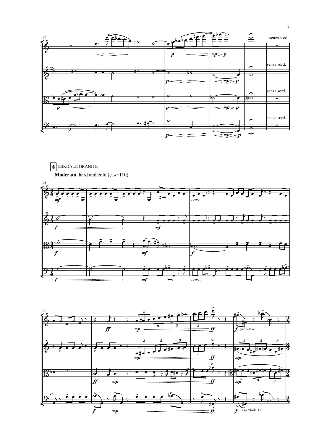

**Moderato,** hard and cold (c.  $=110$ ) **4** ESKDALE GRANITE



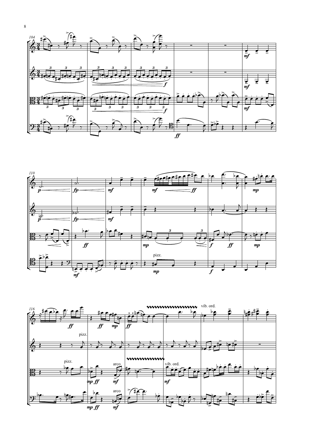



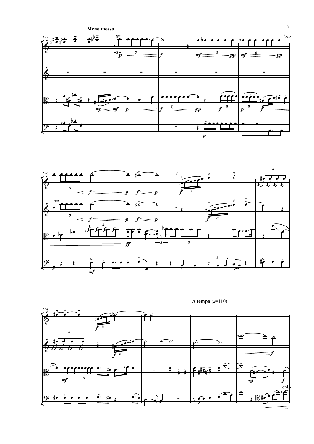



A tempo  $\left(\right)$ =110)

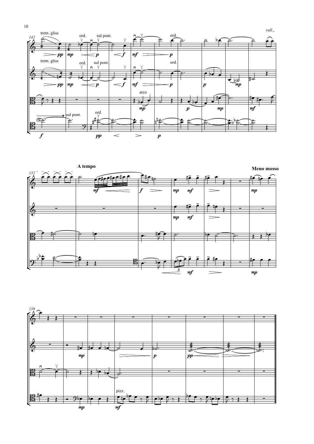



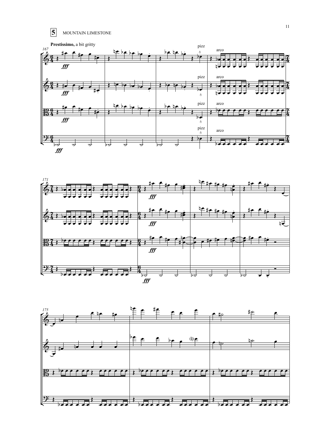MOUNTAIN LIMESTONE





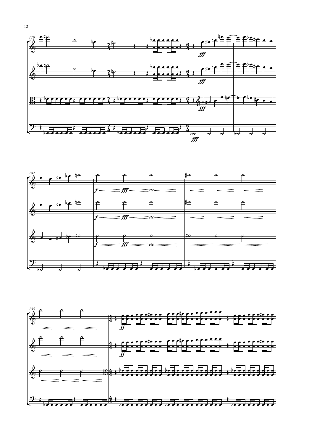



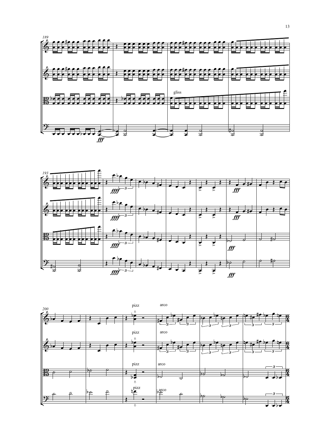



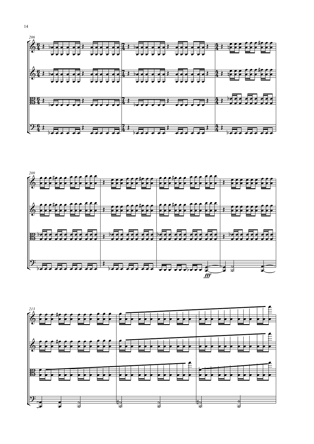



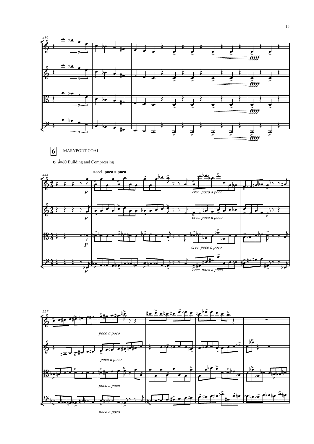

$$
\boxed{6}
$$

MARYPORT COAL

<sup>c</sup>. <sup>q</sup>**=60** Building and Compressing



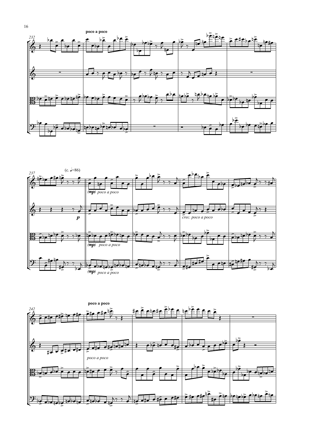



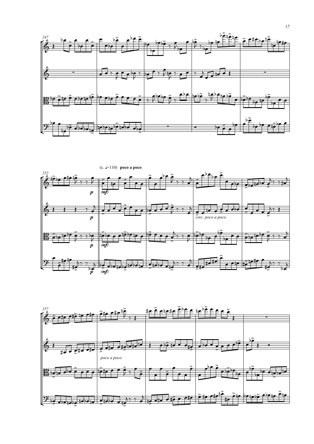



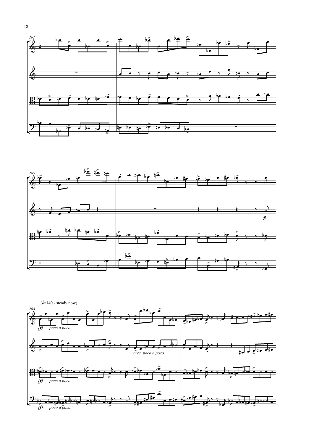



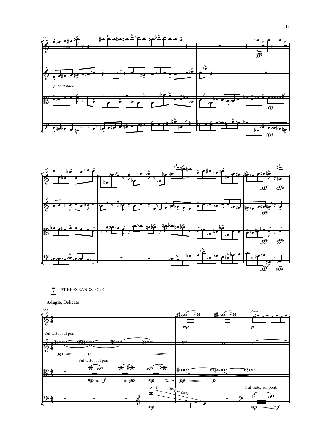



7 ST BEES SANDSTONE

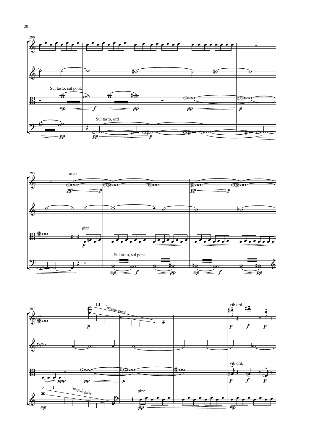